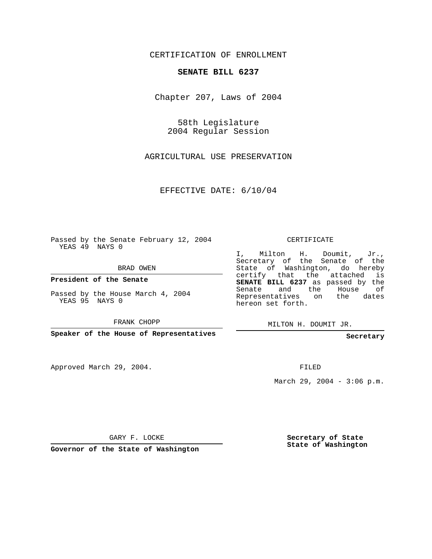CERTIFICATION OF ENROLLMENT

## **SENATE BILL 6237**

Chapter 207, Laws of 2004

58th Legislature 2004 Regular Session

AGRICULTURAL USE PRESERVATION

EFFECTIVE DATE: 6/10/04

Passed by the Senate February 12, 2004 YEAS 49 NAYS 0

BRAD OWEN

**President of the Senate**

Passed by the House March 4, 2004 YEAS 95 NAYS 0

FRANK CHOPP

**Speaker of the House of Representatives**

Approved March 29, 2004.

CERTIFICATE

I, Milton H. Doumit, Jr., Secretary of the Senate of the State of Washington, do hereby certify that the attached is **SENATE BILL 6237** as passed by the Senate and the House of Representatives on the dates hereon set forth.

MILTON H. DOUMIT JR.

**Secretary**

FILED

March 29, 2004 -  $3:06$  p.m.

GARY F. LOCKE

**Governor of the State of Washington**

**Secretary of State State of Washington**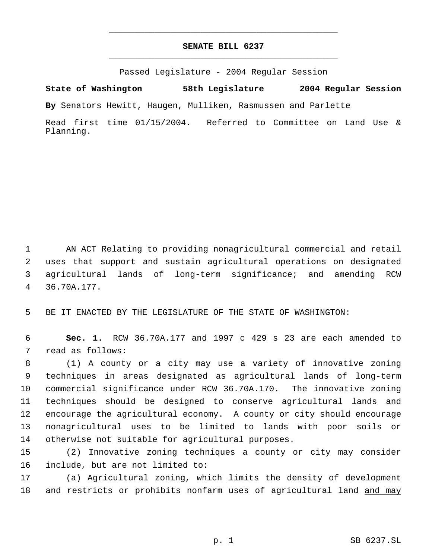## **SENATE BILL 6237** \_\_\_\_\_\_\_\_\_\_\_\_\_\_\_\_\_\_\_\_\_\_\_\_\_\_\_\_\_\_\_\_\_\_\_\_\_\_\_\_\_\_\_\_\_

\_\_\_\_\_\_\_\_\_\_\_\_\_\_\_\_\_\_\_\_\_\_\_\_\_\_\_\_\_\_\_\_\_\_\_\_\_\_\_\_\_\_\_\_\_

Passed Legislature - 2004 Regular Session

**State of Washington 58th Legislature 2004 Regular Session**

**By** Senators Hewitt, Haugen, Mulliken, Rasmussen and Parlette

Read first time 01/15/2004. Referred to Committee on Land Use & Planning.

 AN ACT Relating to providing nonagricultural commercial and retail uses that support and sustain agricultural operations on designated agricultural lands of long-term significance; and amending RCW 36.70A.177.

BE IT ENACTED BY THE LEGISLATURE OF THE STATE OF WASHINGTON:

 **Sec. 1.** RCW 36.70A.177 and 1997 c 429 s 23 are each amended to read as follows:

 (1) A county or a city may use a variety of innovative zoning techniques in areas designated as agricultural lands of long-term commercial significance under RCW 36.70A.170. The innovative zoning techniques should be designed to conserve agricultural lands and encourage the agricultural economy. A county or city should encourage nonagricultural uses to be limited to lands with poor soils or otherwise not suitable for agricultural purposes.

 (2) Innovative zoning techniques a county or city may consider include, but are not limited to:

 (a) Agricultural zoning, which limits the density of development 18 and restricts or prohibits nonfarm uses of agricultural land and may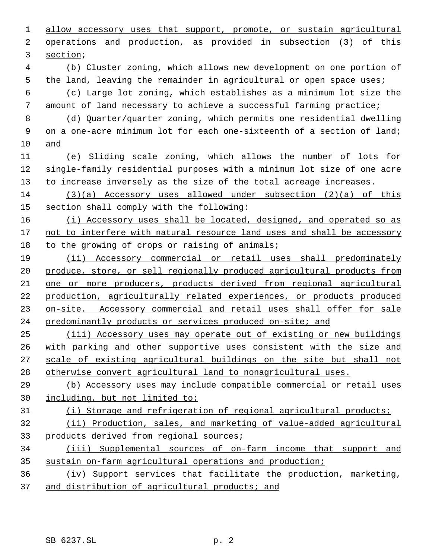1 allow accessory uses that support, promote, or sustain agricultural operations and production, as provided in subsection (3) of this section;

 (b) Cluster zoning, which allows new development on one portion of the land, leaving the remainder in agricultural or open space uses;

 (c) Large lot zoning, which establishes as a minimum lot size the amount of land necessary to achieve a successful farming practice;

 (d) Quarter/quarter zoning, which permits one residential dwelling on a one-acre minimum lot for each one-sixteenth of a section of land; and

 (e) Sliding scale zoning, which allows the number of lots for single-family residential purposes with a minimum lot size of one acre to increase inversely as the size of the total acreage increases.

 (3)(a) Accessory uses allowed under subsection (2)(a) of this section shall comply with the following:

16 (i) Accessory uses shall be located, designed, and operated so as 17 not to interfere with natural resource land uses and shall be accessory 18 to the growing of crops or raising of animals;

 (ii) Accessory commercial or retail uses shall predominately produce, store, or sell regionally produced agricultural products from one or more producers, products derived from regional agricultural production, agriculturally related experiences, or products produced on-site. Accessory commercial and retail uses shall offer for sale predominantly products or services produced on-site; and

 (iii) Accessory uses may operate out of existing or new buildings with parking and other supportive uses consistent with the size and scale of existing agricultural buildings on the site but shall not otherwise convert agricultural land to nonagricultural uses.

 (b) Accessory uses may include compatible commercial or retail uses including, but not limited to:

## (i) Storage and refrigeration of regional agricultural products;

 (ii) Production, sales, and marketing of value-added agricultural products derived from regional sources;

 (iii) Supplemental sources of on-farm income that support and sustain on-farm agricultural operations and production;

 (iv) Support services that facilitate the production, marketing, and distribution of agricultural products; and